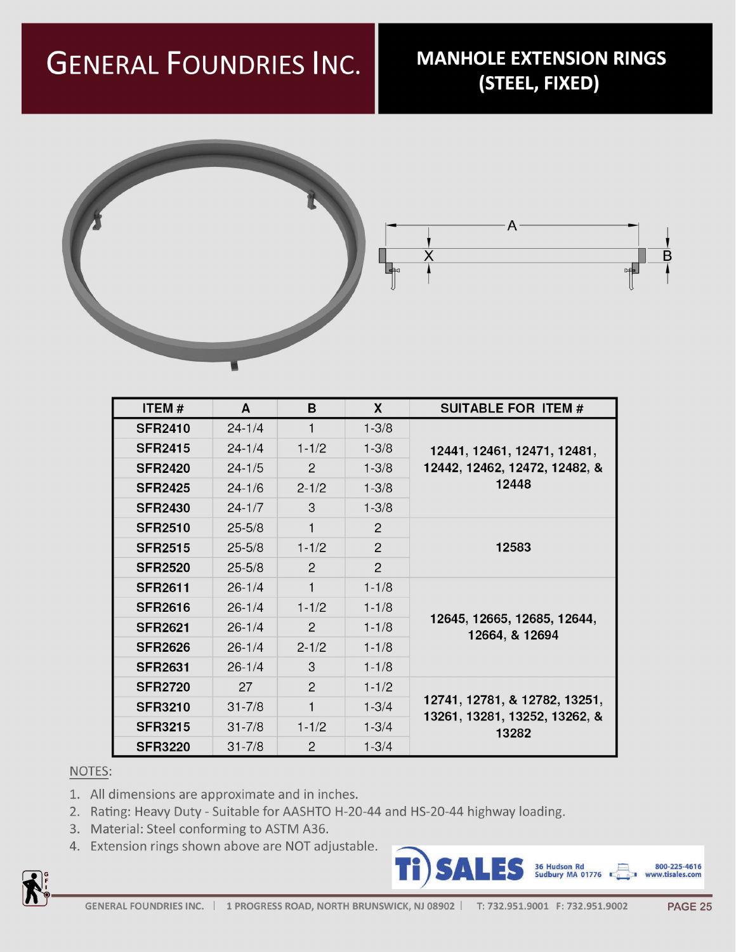## GENERAL FOUNDRIES INC.

## **MANHOLE EXTENSION RINGS** (STEEL, FIXED)



- 1. All dimensions are approximate and in inches.
- 2. Rating: Heavy Duty Suitable for AASHTO H-20-44 and HS-20-44 highway loading.
- 3. Material: Steel conforming to ASTM A36.
- 4. Extension rings shown above are NOT adjustable.





| <b>ITEM#</b>   | Α          | Β                         |                | <b>SUITABLE FOR ITEM #</b>                                              |  |
|----------------|------------|---------------------------|----------------|-------------------------------------------------------------------------|--|
| <b>SFR2410</b> | $24 - 1/4$ |                           | $1 - 3/8$      |                                                                         |  |
| <b>SFR2415</b> | $24 - 1/4$ | $1 - 1/2$                 | $1 - 3/8$      | 12441, 12461, 12471, 12481,<br>12442, 12462, 12472, 12482, &<br>12448   |  |
| <b>SFR2420</b> | $24 - 1/5$ | $\mathbf{2}^{\mathsf{I}}$ | $1 - 3/8$      |                                                                         |  |
| <b>SFR2425</b> | $24 - 1/6$ | $2 - 1/2$                 | $1 - 3/8$      |                                                                         |  |
| <b>SFR2430</b> | $24 - 1/7$ | 3                         | $1 - 3/8$      |                                                                         |  |
| <b>SFR2510</b> | $25 - 5/8$ |                           | $\overline{2}$ | 12583                                                                   |  |
| <b>SFR2515</b> | $25 - 5/8$ | $1 - 1/2$                 | $\mathcal{P}$  |                                                                         |  |
| <b>SFR2520</b> | $25 - 5/8$ | $\overline{2}$            | $\overline{2}$ |                                                                         |  |
| <b>SFR2611</b> | $26 - 1/4$ |                           | $1 - 1/8$      | 12645, 12665, 12685, 12644,<br>12664, & 12694                           |  |
| <b>SFR2616</b> | $26 - 1/4$ | $1 - 1/2$                 | $1 - 1/8$      |                                                                         |  |
| <b>SFR2621</b> | $26 - 1/4$ | $\overline{2}$            | $1 - 1/8$      |                                                                         |  |
| <b>SFR2626</b> | $26 - 1/4$ | $2 - 1/2$                 | $1 - 1/8$      |                                                                         |  |
| <b>SFR2631</b> | $26 - 1/4$ | 3                         | $1 - 1/8$      |                                                                         |  |
| <b>SFR2720</b> | 27         | $\mathcal{P}$             | $1 - 1/2$      | 12741, 12781, & 12782, 13251,<br>13261, 13281, 13252, 13262, &<br>13282 |  |
| <b>SFR3210</b> | $31 - 7/8$ |                           | $1 - 3/4$      |                                                                         |  |
| <b>SFR3215</b> | $31 - 7/8$ | $1 - 1/2$                 | $1 - 3/4$      |                                                                         |  |
| <b>SFR3220</b> | $31 - 7/8$ | $\mathcal{P}$             | $1 - 3/4$      |                                                                         |  |